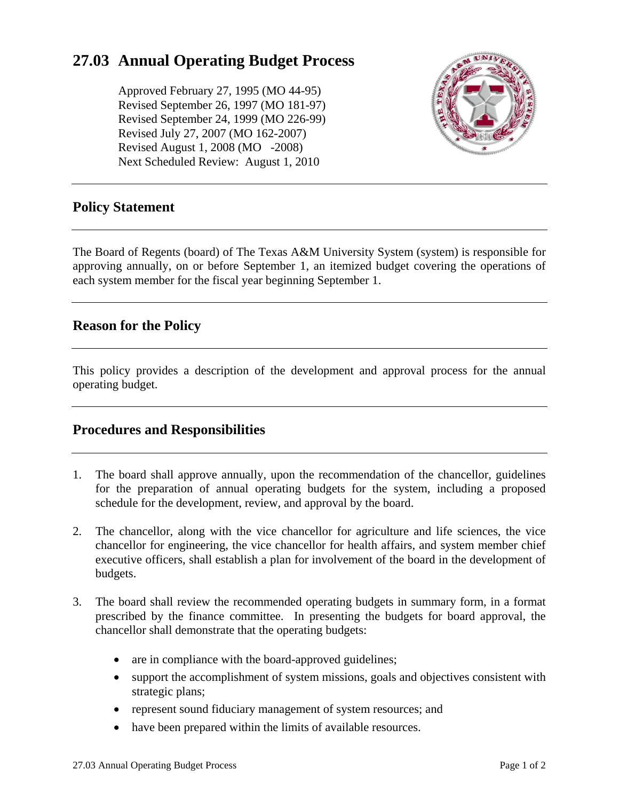# **27.03 Annual Operating Budget Process**

Approved February 27, 1995 (MO 44-95) Revised September 26, 1997 (MO 181-97) Revised September 24, 1999 (MO 226-99) Revised July 27, 2007 (MO 162-2007) Revised August 1, 2008 (MO -2008) Next Scheduled Review: August 1, 2010



## **Policy Statement**

The Board of Regents (board) of The Texas A&M University System (system) is responsible for approving annually, on or before September 1, an itemized budget covering the operations of each system member for the fiscal year beginning September 1.

## **Reason for the Policy**

This policy provides a description of the development and approval process for the annual operating budget.

# **Procedures and Responsibilities**

- 1. The board shall approve annually, upon the recommendation of the chancellor, guidelines for the preparation of annual operating budgets for the system, including a proposed schedule for the development, review, and approval by the board.
- 2. The chancellor, along with the vice chancellor for agriculture and life sciences, the vice chancellor for engineering, the vice chancellor for health affairs, and system member chief executive officers, shall establish a plan for involvement of the board in the development of budgets.
- 3. The board shall review the recommended operating budgets in summary form, in a format prescribed by the finance committee. In presenting the budgets for board approval, the chancellor shall demonstrate that the operating budgets:
	- are in compliance with the board-approved guidelines;
	- support the accomplishment of system missions, goals and objectives consistent with strategic plans;
	- represent sound fiduciary management of system resources; and
	- have been prepared within the limits of available resources.